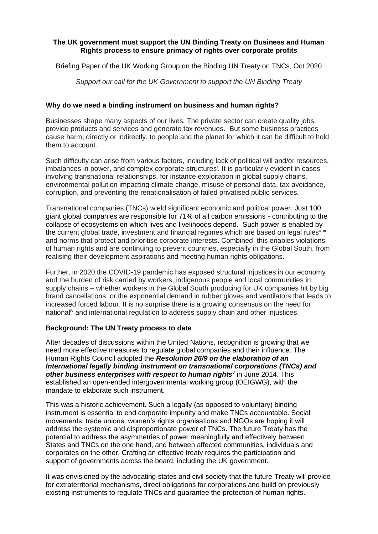# **The UK government must support the UN Binding Treaty on Business and Human Rights process to ensure primacy of rights over corporate profits**

Briefing Paper of the UK Working Group on the Binding UN Treaty on TNCs, Oct 2020

*Support our call for the UK Government to support the UN Binding Treaty*

### **Why do we need a binding instrument on business and human rights?**

Businesses shape many aspects of our lives. The private sector can create quality jobs, provide products and services and generate tax revenues. But some business practices cause harm, directly or indirectly, to people and the planet for which it can be difficult to hold them to account.

Such difficulty can arise from various factors, including lack of political will and/or resources, imbalances in power, and complex corporate structures<sup>i</sup>. It is particularly evident in cases involving transnational relationships, for instance exploitation in global supply chains, environmental pollution impacting climate change, misuse of personal data, tax avoidance, corruption, and preventing the renationalisation of failed privatised public services.

Transnational companies (TNCs) wield significant economic and political power. Just 100 giant global companies are responsible for 71% of all carbon emissions - contributing to the collapse of ecosystems on which lives and livelihoods depend. Such power is enabled by the current global trade, investment and financial regimes which are based on legal rules<sup>ii iii</sup> and norms that protect and prioritise corporate interests. Combined, this enables violations of human rights and are continuing to prevent countries, especially in the Global South, from realising their development aspirations and meeting human rights obligations.

Further, in 2020 the COVID-19 pandemic has exposed structural injustices in our economy and the burden of risk carried by workers, indigenous people and local communities in supply chains – whether workers in the Global South producing for UK companies hit by big brand cancellations, or the exponential demand in rubber gloves and ventilators that leads to increased forced labour. It is no surprise there is a growing consensus on the need for national<sup>iv</sup> and international regulation to address supply chain and other injustices.

# **Background: The UN Treaty process to date**

After decades of discussions within the United Nations, recognition is growing that we need more effective measures to regulate global companies and their influence. The Human Rights Council adopted the *Resolution 26/9 on the elaboration of an International legally binding instrument on transnational corporations (TNCs) and*  other business enterprises with respect to human rights<sup>*v*</sup> in June 2014. This established an open-ended intergovernmental working group (OEIGWG), with the mandate to elaborate such instrument.

This was a historic achievement. Such a legally (as opposed to voluntary) binding instrument is essential to end corporate impunity and make TNCs accountable. Social movements, trade unions, women's rights organisations and NGOs are hoping it will address the systemic and disproportionate power of TNCs. The future Treaty has the potential to address the asymmetries of power meaningfully and effectively between States and TNCs on the one hand, and between affected communities, individuals and corporates on the other. Crafting an effective treaty requires the participation and support of governments across the board, including the UK government.

It was envisioned by the advocating states and civil society that the future Treaty will provide for extraterritorial mechanisms, direct obligations for corporations and build on previously existing instruments to regulate TNCs and guarantee the protection of human rights.